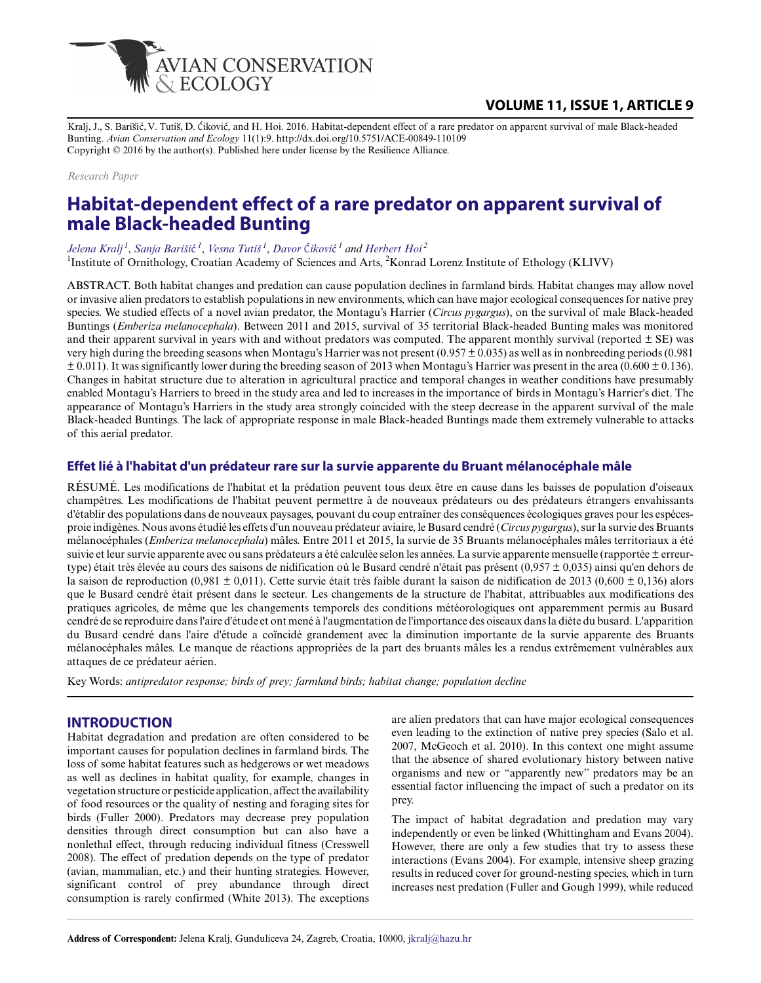

# **VOLUME 11, ISSUE 1, ARTICLE 9**

Kralj, J., S. Barišić, V. Tutiš, D. Ćiković, and H. Hoi. 2016. Habitat-dependent effect of a rare predator on apparent survival of male Black-headed Bunting. *Avian Conservation and Ecology* 11(1):9. http://dx.doi.org/10.5751/ACE-00849-110109 Copyright © 2016 by the author(s). Published here under license by the Resilience Alliance.

#### *Research Paper*

# **Habitat-dependent effect of a rare predator on apparent survival of male Black-headed Bunting**

## *Jelena Kralj<sup>1</sup>* , *Sanja Bariši*ć  *1* , *Vesna Tutiš<sup>1</sup>* , *Davor* Ć*ikovi*ć *<sup>1</sup> and Herbert Hoi<sup>2</sup>*

<sup>1</sup>Institute of Ornithology, Croatian Academy of Sciences and Arts, <sup>2</sup>Konrad Lorenz Institute of Ethology (KLIVV)

ABSTRACT. Both habitat changes and predation can cause population declines in farmland birds. Habitat changes may allow novel or invasive alien predators to establish populations in new environments, which can have major ecological consequences for native prey species. We studied effects of a novel avian predator, the Montagu's Harrier (*Circus pygargus*), on the survival of male Black-headed Buntings (*Emberiza melanocephala*). Between 2011 and 2015, survival of 35 territorial Black-headed Bunting males was monitored and their apparent survival in years with and without predators was computed. The apparent monthly survival (reported  $\pm$  SE) was very high during the breeding seasons when Montagu's Harrier was not present (0.957 ± 0.035) as well as in nonbreeding periods (0.981  $\pm$  0.011). It was significantly lower during the breeding season of 2013 when Montagu's Harrier was present in the area (0.600  $\pm$  0.136). Changes in habitat structure due to alteration in agricultural practice and temporal changes in weather conditions have presumably enabled Montagu's Harriers to breed in the study area and led to increases in the importance of birds in Montagu's Harrier's diet. The appearance of Montagu's Harriers in the study area strongly coincided with the steep decrease in the apparent survival of the male Black-headed Buntings. The lack of appropriate response in male Black-headed Buntings made them extremely vulnerable to attacks of this aerial predator.

## **Effet lié à l'habitat d'un prédateur rare sur la survie apparente du Bruant mélanocéphale mâle**

RÉSUMÉ. Les modifications de l'habitat et la prédation peuvent tous deux être en cause dans les baisses de population d'oiseaux champêtres. Les modifications de l'habitat peuvent permettre à de nouveaux prédateurs ou des prédateurs étrangers envahissants d'établir des populations dans de nouveaux paysages, pouvant du coup entraîner des conséquences écologiques graves pour les espècesproie indigènes. Nous avons étudié les effets d'un nouveau prédateur aviaire, le Busard cendré (*Circus pygargus*), sur la survie des Bruants mélanocéphales (*Emberiza melanocephala*) mâles. Entre 2011 et 2015, la survie de 35 Bruants mélanocéphales mâles territoriaux a été suivie et leur survie apparente avec ou sans prédateurs a été calculée selon les années. La survie apparente mensuelle (rapportée ± erreurtype) était très élevée au cours des saisons de nidification où le Busard cendré n'était pas présent (0,957 ± 0,035) ainsi qu'en dehors de la saison de reproduction (0,981 ± 0,011). Cette survie était très faible durant la saison de nidification de 2013 (0,600 ± 0,136) alors que le Busard cendré était présent dans le secteur. Les changements de la structure de l'habitat, attribuables aux modifications des pratiques agricoles, de même que les changements temporels des conditions météorologiques ont apparemment permis au Busard cendré de se reproduire dans l'aire d'étude et ont mené à l'augmentation de l'importance des oiseaux dans la diète du busard. L'apparition du Busard cendré dans l'aire d'étude a coïncidé grandement avec la diminution importante de la survie apparente des Bruants mélanocéphales mâles. Le manque de réactions appropriées de la part des bruants mâles les a rendus extrêmement vulnérables aux attaques de ce prédateur aérien.

Key Words: *antipredator response; birds of prey; farmland birds; habitat change; population decline*

## **INTRODUCTION**

Habitat degradation and predation are often considered to be important causes for population declines in farmland birds. The loss of some habitat features such as hedgerows or wet meadows as well as declines in habitat quality, for example, changes in vegetation structure or pesticide application, affect the availability of food resources or the quality of nesting and foraging sites for birds (Fuller 2000). Predators may decrease prey population densities through direct consumption but can also have a nonlethal effect, through reducing individual fitness (Cresswell 2008). The effect of predation depends on the type of predator (avian, mammalian, etc.) and their hunting strategies. However, significant control of prey abundance through direct consumption is rarely confirmed (White 2013). The exceptions

are alien predators that can have major ecological consequences even leading to the extinction of native prey species (Salo et al. 2007, McGeoch et al. 2010). In this context one might assume that the absence of shared evolutionary history between native organisms and new or "apparently new" predators may be an essential factor influencing the impact of such a predator on its prey.

The impact of habitat degradation and predation may vary independently or even be linked (Whittingham and Evans 2004). However, there are only a few studies that try to assess these interactions (Evans 2004). For example, intensive sheep grazing results in reduced cover for ground-nesting species, which in turn increases nest predation (Fuller and Gough 1999), while reduced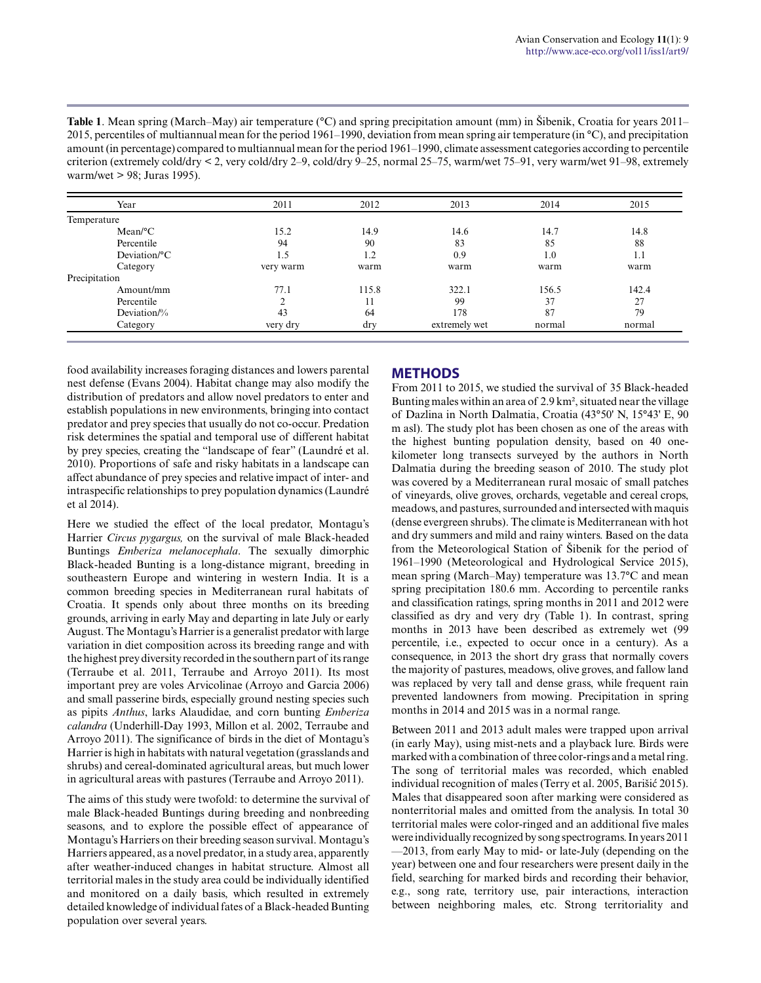**Table 1**. Mean spring (March–May) air temperature (°C) and spring precipitation amount (mm) in Šibenik, Croatia for years 2011– 2015, percentiles of multiannual mean for the period 1961–1990, deviation from mean spring air temperature (in °C), and precipitation amount (in percentage) compared to multiannual mean for the period 1961–1990, climate assessment categories according to percentile criterion (extremely cold/dry < 2, very cold/dry 2–9, cold/dry 9–25, normal 25–75, warm/wet 75–91, very warm/wet 91–98, extremely warm/wet > 98; Juras 1995).

| Year                    | 2011      | 2012  | 2013          | 2014   | 2015   |
|-------------------------|-----------|-------|---------------|--------|--------|
| Temperature             |           |       |               |        |        |
| $Mean$ <sup>o</sup> $C$ | 15.2      | 14.9  | 14.6          | 14.7   | 14.8   |
| Percentile              | 94        | 90    | 83            | 85     | 88     |
| Deviation/°C            | 1.5       | 1.2   | 0.9           | 1.0    | 1.1    |
| Category                | very warm | warm  | warm          | warm   | warm   |
| Precipitation           |           |       |               |        |        |
| Amount/mm               | 77.1      | 115.8 | 322.1         | 156.5  | 142.4  |
| Percentile              |           | 11    | 99            | 37     | 27     |
| Deviation/%             | 43        | 64    | 178           | 87     | 79     |
| Category                | very dry  | dry   | extremely wet | normal | normal |

food availability increases foraging distances and lowers parental nest defense (Evans 2004). Habitat change may also modify the distribution of predators and allow novel predators to enter and establish populations in new environments, bringing into contact predator and prey species that usually do not co-occur. Predation risk determines the spatial and temporal use of different habitat by prey species, creating the "landscape of fear" (Laundré et al. 2010). Proportions of safe and risky habitats in a landscape can affect abundance of prey species and relative impact of inter- and intraspecific relationships to prey population dynamics (Laundré et al 2014).

Here we studied the effect of the local predator, Montagu's Harrier *Circus pygargus,* on the survival of male Black-headed Buntings *Emberiza melanocephala*. The sexually dimorphic Black-headed Bunting is a long-distance migrant, breeding in southeastern Europe and wintering in western India. It is a common breeding species in Mediterranean rural habitats of Croatia. It spends only about three months on its breeding grounds, arriving in early May and departing in late July or early August. The Montagu's Harrier is a generalist predator with large variation in diet composition across its breeding range and with the highest prey diversity recorded in the southern part of its range (Terraube et al. 2011, Terraube and Arroyo 2011). Its most important prey are voles Arvicolinae (Arroyo and Garcia 2006) and small passerine birds, especially ground nesting species such as pipits *Anthus*, larks Alaudidae, and corn bunting *Emberiza calandra* (Underhill-Day 1993, Millon et al. 2002, Terraube and Arroyo 2011). The significance of birds in the diet of Montagu's Harrier is high in habitats with natural vegetation (grasslands and shrubs) and cereal-dominated agricultural areas, but much lower in agricultural areas with pastures (Terraube and Arroyo 2011).

The aims of this study were twofold: to determine the survival of male Black-headed Buntings during breeding and nonbreeding seasons, and to explore the possible effect of appearance of Montagu's Harriers on their breeding season survival. Montagu's Harriers appeared, as a novel predator, in a study area, apparently after weather-induced changes in habitat structure. Almost all territorial males in the study area could be individually identified and monitored on a daily basis, which resulted in extremely detailed knowledge of individual fates of a Black-headed Bunting population over several years.

## **METHODS**

From 2011 to 2015, we studied the survival of 35 Black-headed Bunting males within an area of 2.9 km², situated near the village of Dazlina in North Dalmatia, Croatia (43°50' N, 15°43' E, 90 m asl). The study plot has been chosen as one of the areas with the highest bunting population density, based on 40 onekilometer long transects surveyed by the authors in North Dalmatia during the breeding season of 2010. The study plot was covered by a Mediterranean rural mosaic of small patches of vineyards, olive groves, orchards, vegetable and cereal crops, meadows, and pastures, surrounded and intersected with maquis (dense evergreen shrubs). The climate is Mediterranean with hot and dry summers and mild and rainy winters. Based on the data from the Meteorological Station of Šibenik for the period of 1961–1990 (Meteorological and Hydrological Service 2015), mean spring (March–May) temperature was 13.7°C and mean spring precipitation 180.6 mm. According to percentile ranks and classification ratings, spring months in 2011 and 2012 were classified as dry and very dry (Table 1). In contrast, spring months in 2013 have been described as extremely wet (99 percentile, i.e., expected to occur once in a century). As a consequence, in 2013 the short dry grass that normally covers the majority of pastures, meadows, olive groves, and fallow land was replaced by very tall and dense grass, while frequent rain prevented landowners from mowing. Precipitation in spring months in 2014 and 2015 was in a normal range.

Between 2011 and 2013 adult males were trapped upon arrival (in early May), using mist-nets and a playback lure. Birds were marked with a combination of three color-rings and a metal ring. The song of territorial males was recorded, which enabled individual recognition of males (Terry et al. 2005, Barišić 2015). Males that disappeared soon after marking were considered as nonterritorial males and omitted from the analysis. In total 30 territorial males were color-ringed and an additional five males were individually recognized by song spectrograms. In years 2011 —2013, from early May to mid- or late-July (depending on the year) between one and four researchers were present daily in the field, searching for marked birds and recording their behavior, e.g., song rate, territory use, pair interactions, interaction between neighboring males, etc. Strong territoriality and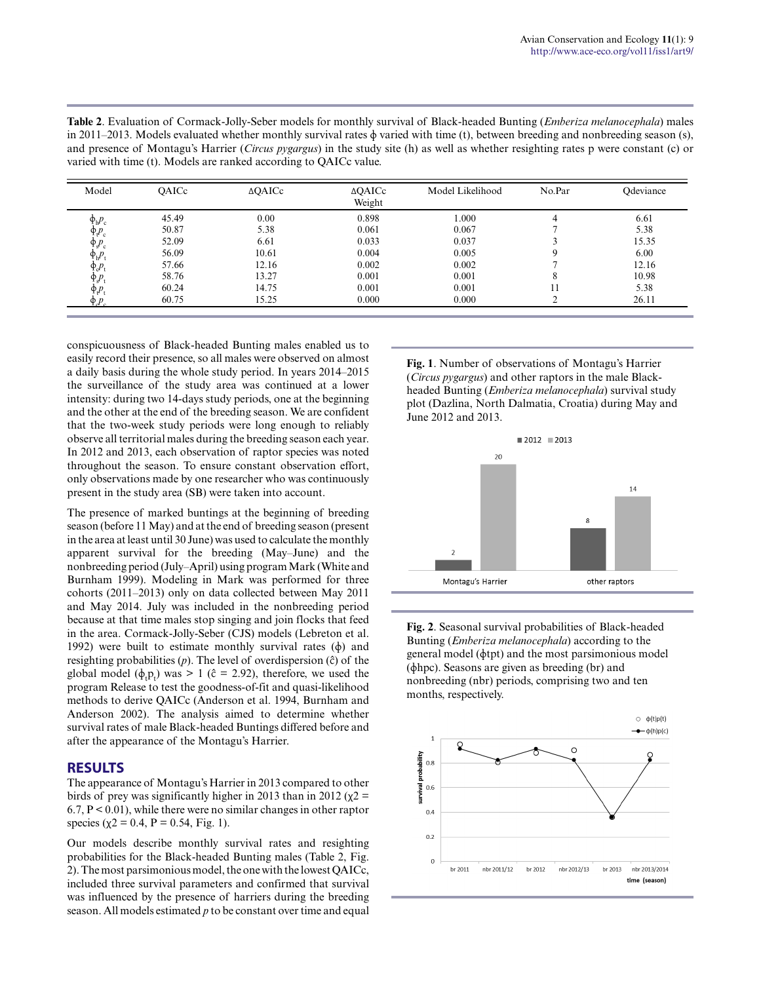| Model                     | OAICc | $\triangle$ QAICc | $\triangle$ QAICc<br>Weight | Model Likelihood | No.Par | Odeviance |
|---------------------------|-------|-------------------|-----------------------------|------------------|--------|-----------|
| $\Phi_{\rm h}P_{\rm c}$   | 45.49 | 0.00              | 0.898                       | 1.000            | 4      | 6.61      |
| $\Phi_{t}P_{c}$           | 50.87 | 5.38              | 0.061                       | 0.067            |        | 5.38      |
| $\Phi_{\rm s}P_{\rm c}$   | 52.09 | 6.61              | 0.033                       | 0.037            |        | 15.35     |
| $\Phi_{h}P_{t}$           | 56.09 | 10.61             | 0.004                       | 0.005            |        | 6.00      |
| $\oint_c P_t$             | 57.66 | 12.16             | 0.002                       | 0.002            |        | 12.16     |
| $\oint_{\mathcal{S}} p_t$ | 58.76 | 13.27             | 0.001                       | 0.001            |        | 10.98     |
| $\Phi_t P_t$              | 60.24 | 14.75             | 0.001                       | 0.001            | 11     | 5.38      |
| $\Phi P$                  | 60.75 | 15.25             | 0.000                       | 0.000            |        | 26.11     |

**Table 2**. Evaluation of Cormack-Jolly-Seber models for monthly survival of Black-headed Bunting (*Emberiza melanocephala*) males in 2011–2013. Models evaluated whether monthly survival rates  $\phi$  varied with time (t), between breeding and nonbreeding season (s), and presence of Montagu's Harrier (*Circus pygargus*) in the study site (h) as well as whether resighting rates p were constant (c) or varied with time (t). Models are ranked according to QAICc value.

conspicuousness of Black-headed Bunting males enabled us to easily record their presence, so all males were observed on almost a daily basis during the whole study period. In years 2014–2015 the surveillance of the study area was continued at a lower intensity: during two 14-days study periods, one at the beginning and the other at the end of the breeding season. We are confident that the two-week study periods were long enough to reliably observe all territorial males during the breeding season each year. In 2012 and 2013, each observation of raptor species was noted throughout the season. To ensure constant observation effort, only observations made by one researcher who was continuously present in the study area (SB) were taken into account.

The presence of marked buntings at the beginning of breeding season (before 11 May) and at the end of breeding season (present in the area at least until 30 June) was used to calculate the monthly apparent survival for the breeding (May–June) and the nonbreeding period (July–April) using program Mark (White and Burnham 1999). Modeling in Mark was performed for three cohorts (2011–2013) only on data collected between May 2011 and May 2014. July was included in the nonbreeding period because at that time males stop singing and join flocks that feed in the area. Cormack-Jolly-Seber (CJS) models (Lebreton et al. 1992) were built to estimate monthly survival rates  $(\phi)$  and resighting probabilities (*p*). The level of overdispersion (ĉ) of the global model  $(\phi_t p_t)$  was > 1 ( $\hat{c}$  = 2.92), therefore, we used the program Release to test the goodness-of-fit and quasi-likelihood methods to derive QAICc (Anderson et al. 1994, Burnham and Anderson 2002). The analysis aimed to determine whether survival rates of male Black-headed Buntings differed before and after the appearance of the Montagu's Harrier.

## **RESULTS**

The appearance of Montagu's Harrier in 2013 compared to other birds of prey was significantly higher in 2013 than in 2012 ( $\chi$ 2 =  $6.7, P \le 0.01$ , while there were no similar changes in other raptor species ( $\chi$ 2 = 0.4, P = 0.54, Fig. 1).

Our models describe monthly survival rates and resighting probabilities for the Black-headed Bunting males (Table 2, Fig. 2). The most parsimonious model, the one with the lowest QAICc, included three survival parameters and confirmed that survival was influenced by the presence of harriers during the breeding season. All models estimated *p* to be constant over time and equal

**Fig. 1**. Number of observations of Montagu's Harrier (*Circus pygargus*) and other raptors in the male Blackheaded Bunting (*Emberiza melanocephala*) survival study plot (Dazlina, North Dalmatia, Croatia) during May and June 2012 and 2013.



**Fig. 2**. Seasonal survival probabilities of Black-headed Bunting (*Emberiza melanocephala*) according to the general model (ɸtpt) and the most parsimonious model (ɸhpc). Seasons are given as breeding (br) and nonbreeding (nbr) periods, comprising two and ten months, respectively.

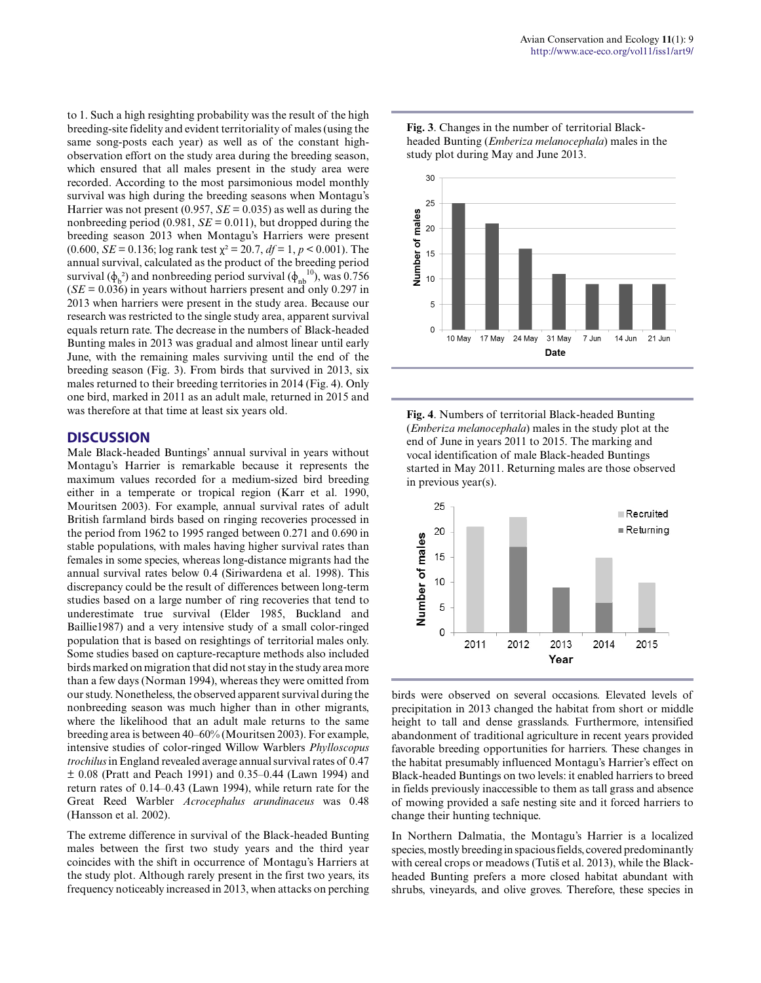to 1. Such a high resighting probability was the result of the high breeding-site fidelity and evident territoriality of males (using the same song-posts each year) as well as of the constant highobservation effort on the study area during the breeding season, which ensured that all males present in the study area were recorded. According to the most parsimonious model monthly survival was high during the breeding seasons when Montagu's Harrier was not present  $(0.957, SE = 0.035)$  as well as during the nonbreeding period (0.981,  $SE = 0.011$ ), but dropped during the breeding season 2013 when Montagu's Harriers were present (0.600, *SE* = 0.136; log rank test  $\chi^2$  = 20.7, *df* = 1, *p* < 0.001). The annual survival, calculated as the product of the breeding period survival ( $\phi_b^2$ ) and nonbreeding period survival ( $\phi_{nb}^{10}$ ), was 0.756  $(SE = 0.036)$  in years without harriers present and only 0.297 in 2013 when harriers were present in the study area. Because our research was restricted to the single study area, apparent survival equals return rate. The decrease in the numbers of Black-headed Bunting males in 2013 was gradual and almost linear until early June, with the remaining males surviving until the end of the breeding season (Fig. 3). From birds that survived in 2013, six males returned to their breeding territories in 2014 (Fig. 4). Only one bird, marked in 2011 as an adult male, returned in 2015 and was therefore at that time at least six years old.

## **DISCUSSION**

Male Black-headed Buntings' annual survival in years without Montagu's Harrier is remarkable because it represents the maximum values recorded for a medium-sized bird breeding either in a temperate or tropical region (Karr et al. 1990, Mouritsen 2003). For example, annual survival rates of adult British farmland birds based on ringing recoveries processed in the period from 1962 to 1995 ranged between 0.271 and 0.690 in stable populations, with males having higher survival rates than females in some species, whereas long-distance migrants had the annual survival rates below 0.4 (Siriwardena et al. 1998). This discrepancy could be the result of differences between long-term studies based on a large number of ring recoveries that tend to underestimate true survival (Elder 1985, Buckland and Baillie1987) and a very intensive study of a small color-ringed population that is based on resightings of territorial males only. Some studies based on capture-recapture methods also included birds marked on migration that did not stay in the study area more than a few days (Norman 1994), whereas they were omitted from our study. Nonetheless, the observed apparent survival during the nonbreeding season was much higher than in other migrants, where the likelihood that an adult male returns to the same breeding area is between 40–60% (Mouritsen 2003). For example, intensive studies of color-ringed Willow Warblers *Phylloscopus trochilus* in England revealed average annual survival rates of 0.47 ± 0.08 (Pratt and Peach 1991) and 0.35–0.44 (Lawn 1994) and return rates of 0.14–0.43 (Lawn 1994), while return rate for the Great Reed Warbler *Acrocephalus arundinaceus* was 0.48 (Hansson et al. 2002).

The extreme difference in survival of the Black-headed Bunting males between the first two study years and the third year coincides with the shift in occurrence of Montagu's Harriers at the study plot. Although rarely present in the first two years, its frequency noticeably increased in 2013, when attacks on perching **Fig. 3**. Changes in the number of territorial Blackheaded Bunting (*Emberiza melanocephala*) males in the study plot during May and June 2013.



**Fig. 4**. Numbers of territorial Black-headed Bunting (*Emberiza melanocephala*) males in the study plot at the end of June in years 2011 to 2015. The marking and vocal identification of male Black-headed Buntings started in May 2011. Returning males are those observed in previous year(s).



birds were observed on several occasions. Elevated levels of precipitation in 2013 changed the habitat from short or middle height to tall and dense grasslands. Furthermore, intensified abandonment of traditional agriculture in recent years provided favorable breeding opportunities for harriers. These changes in the habitat presumably influenced Montagu's Harrier's effect on Black-headed Buntings on two levels: it enabled harriers to breed in fields previously inaccessible to them as tall grass and absence of mowing provided a safe nesting site and it forced harriers to change their hunting technique.

In Northern Dalmatia, the Montagu's Harrier is a localized species, mostly breeding in spacious fields, covered predominantly with cereal crops or meadows (Tutiš et al. 2013), while the Blackheaded Bunting prefers a more closed habitat abundant with shrubs, vineyards, and olive groves. Therefore, these species in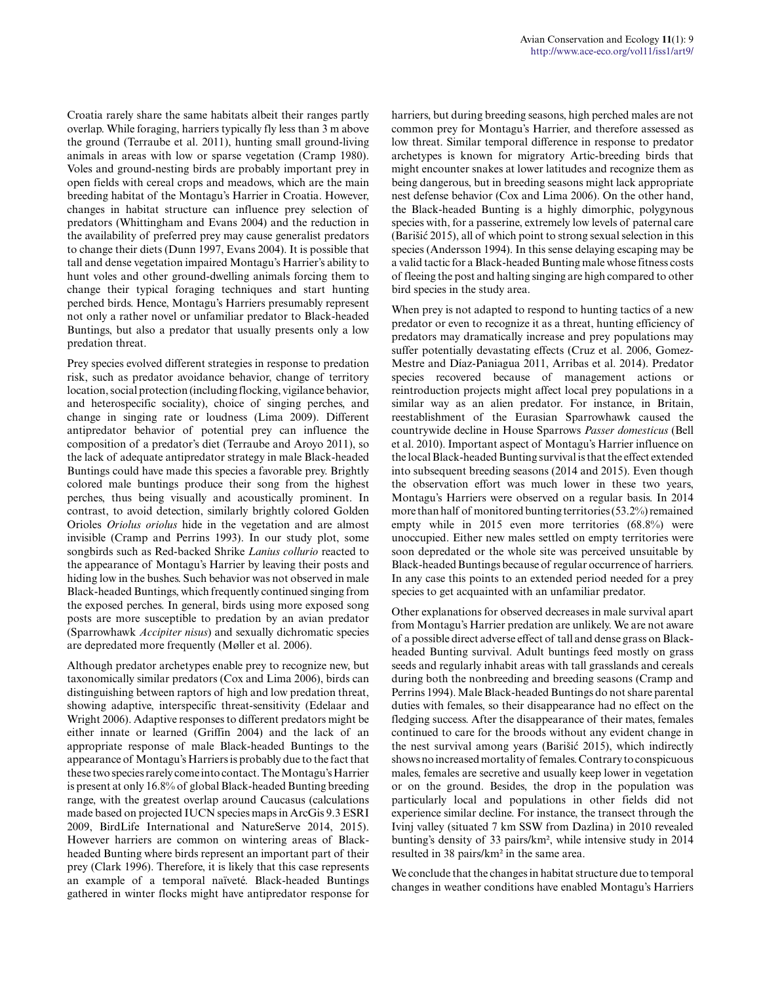Croatia rarely share the same habitats albeit their ranges partly overlap. While foraging, harriers typically fly less than 3 m above the ground (Terraube et al. 2011), hunting small ground-living animals in areas with low or sparse vegetation (Cramp 1980). Voles and ground-nesting birds are probably important prey in open fields with cereal crops and meadows, which are the main breeding habitat of the Montagu's Harrier in Croatia. However, changes in habitat structure can influence prey selection of predators (Whittingham and Evans 2004) and the reduction in the availability of preferred prey may cause generalist predators to change their diets (Dunn 1997, Evans 2004). It is possible that tall and dense vegetation impaired Montagu's Harrier's ability to hunt voles and other ground-dwelling animals forcing them to change their typical foraging techniques and start hunting perched birds. Hence, Montagu's Harriers presumably represent not only a rather novel or unfamiliar predator to Black-headed Buntings, but also a predator that usually presents only a low predation threat.

Prey species evolved different strategies in response to predation risk, such as predator avoidance behavior, change of territory location, social protection (including flocking, vigilance behavior, and heterospecific sociality), choice of singing perches, and change in singing rate or loudness (Lima 2009). Different antipredator behavior of potential prey can influence the composition of a predator's diet (Terraube and Aroyo 2011), so the lack of adequate antipredator strategy in male Black-headed Buntings could have made this species a favorable prey. Brightly colored male buntings produce their song from the highest perches, thus being visually and acoustically prominent. In contrast, to avoid detection, similarly brightly colored Golden Orioles *Oriolus oriolus* hide in the vegetation and are almost invisible (Cramp and Perrins 1993). In our study plot, some songbirds such as Red-backed Shrike *Lanius collurio* reacted to the appearance of Montagu's Harrier by leaving their posts and hiding low in the bushes. Such behavior was not observed in male Black-headed Buntings, which frequently continued singing from the exposed perches. In general, birds using more exposed song posts are more susceptible to predation by an avian predator (Sparrowhawk *Accipiter nisus*) and sexually dichromatic species are depredated more frequently (Møller et al. 2006).

Although predator archetypes enable prey to recognize new, but taxonomically similar predators (Cox and Lima 2006), birds can distinguishing between raptors of high and low predation threat, showing adaptive, interspecific threat-sensitivity (Edelaar and Wright 2006). Adaptive responses to different predators might be either innate or learned (Griffin 2004) and the lack of an appropriate response of male Black-headed Buntings to the appearance of Montagu's Harriers is probably due to the fact that these two species rarely come into contact. The Montagu's Harrier is present at only 16.8% of global Black-headed Bunting breeding range, with the greatest overlap around Caucasus (calculations made based on projected IUCN species maps in ArcGis 9.3 ESRI 2009, BirdLife International and NatureServe 2014, 2015). However harriers are common on wintering areas of Blackheaded Bunting where birds represent an important part of their prey (Clark 1996). Therefore, it is likely that this case represents an example of a temporal naïveté. Black-headed Buntings gathered in winter flocks might have antipredator response for

harriers, but during breeding seasons, high perched males are not common prey for Montagu's Harrier, and therefore assessed as low threat. Similar temporal difference in response to predator archetypes is known for migratory Artic-breeding birds that might encounter snakes at lower latitudes and recognize them as being dangerous, but in breeding seasons might lack appropriate nest defense behavior (Cox and Lima 2006). On the other hand, the Black-headed Bunting is a highly dimorphic, polygynous species with, for a passerine, extremely low levels of paternal care (Barišić 2015), all of which point to strong sexual selection in this species (Andersson 1994). In this sense delaying escaping may be a valid tactic for a Black-headed Bunting male whose fitness costs of fleeing the post and halting singing are high compared to other bird species in the study area.

When prey is not adapted to respond to hunting tactics of a new predator or even to recognize it as a threat, hunting efficiency of predators may dramatically increase and prey populations may suffer potentially devastating effects (Cruz et al. 2006, Gomez-Mestre and Díaz-Paniagua 2011, Arribas et al. 2014). Predator species recovered because of management actions or reintroduction projects might affect local prey populations in a similar way as an alien predator. For instance, in Britain, reestablishment of the Eurasian Sparrowhawk caused the countrywide decline in House Sparrows *Passer domesticus* (Bell et al. 2010). Important aspect of Montagu's Harrier influence on the local Black-headed Bunting survival is that the effect extended into subsequent breeding seasons (2014 and 2015). Even though the observation effort was much lower in these two years, Montagu's Harriers were observed on a regular basis. In 2014 more than half of monitored bunting territories (53.2%) remained empty while in 2015 even more territories (68.8%) were unoccupied. Either new males settled on empty territories were soon depredated or the whole site was perceived unsuitable by Black-headed Buntings because of regular occurrence of harriers. In any case this points to an extended period needed for a prey species to get acquainted with an unfamiliar predator.

Other explanations for observed decreases in male survival apart from Montagu's Harrier predation are unlikely. We are not aware of a possible direct adverse effect of tall and dense grass on Blackheaded Bunting survival. Adult buntings feed mostly on grass seeds and regularly inhabit areas with tall grasslands and cereals during both the nonbreeding and breeding seasons (Cramp and Perrins 1994). Male Black-headed Buntings do not share parental duties with females, so their disappearance had no effect on the fledging success. After the disappearance of their mates, females continued to care for the broods without any evident change in the nest survival among years (Barišić 2015), which indirectly shows no increased mortality of females. Contrary to conspicuous males, females are secretive and usually keep lower in vegetation or on the ground. Besides, the drop in the population was particularly local and populations in other fields did not experience similar decline. For instance, the transect through the Ivinj valley (situated 7 km SSW from Dazlina) in 2010 revealed bunting's density of 33 pairs/km², while intensive study in 2014 resulted in 38 pairs/km² in the same area.

We conclude that the changes in habitat structure due to temporal changes in weather conditions have enabled Montagu's Harriers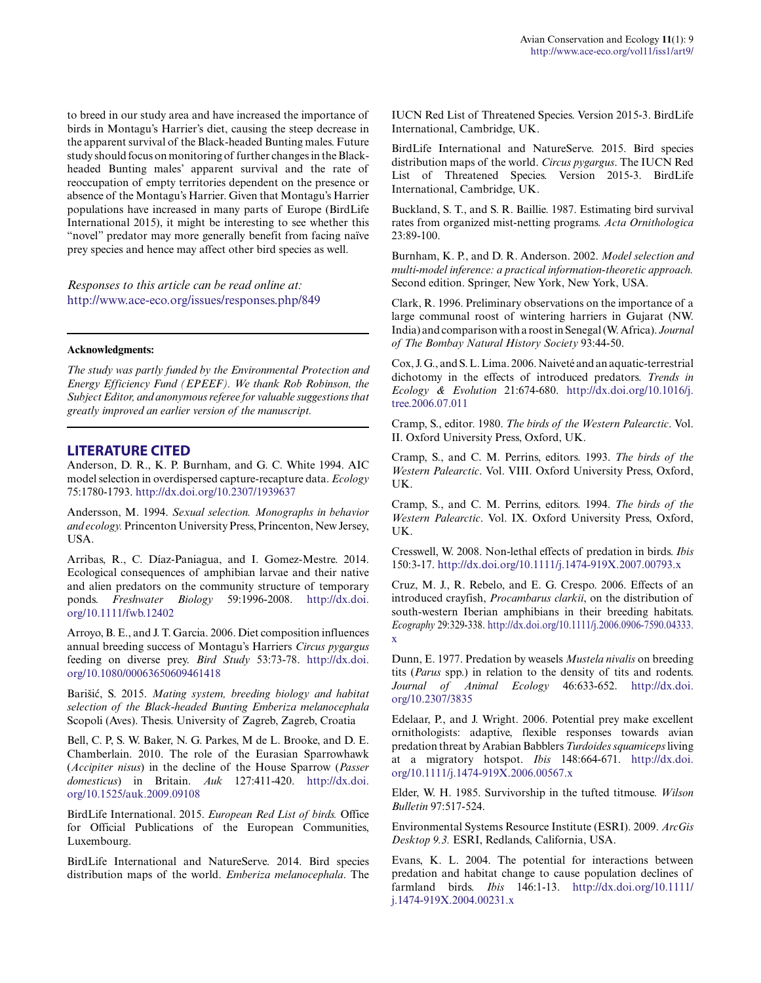to breed in our study area and have increased the importance of birds in Montagu's Harrier's diet, causing the steep decrease in the apparent survival of the Black-headed Bunting males. Future study should focus on monitoring of further changes in the Blackheaded Bunting males' apparent survival and the rate of reoccupation of empty territories dependent on the presence or absence of the Montagu's Harrier. Given that Montagu's Harrier populations have increased in many parts of Europe (BirdLife International 2015), it might be interesting to see whether this "novel" predator may more generally benefit from facing naïve prey species and hence may affect other bird species as well.

*Responses to this article can be read online at:* <http://www.ace-eco.org/issues/responses.php/849>

#### **Acknowledgments:**

*The study was partly funded by the Environmental Protection and Energy Efficiency Fund (EPEEF). We thank Rob Robinson, the Subject Editor, and anonymous referee for valuable suggestions that greatly improved an earlier version of the manuscript.*

## **LITERATURE CITED**

Anderson, D. R., K. P. Burnham, and G. C. White 1994. AIC model selection in overdispersed capture-recapture data. *Ecology* 75:1780-1793. [http://dx.doi.org/10.2307/1939637](http://dx.doi.org/10.2307%2F1939637) 

Andersson, M. 1994. *Sexual selection. Monographs in behavior and ecology.* Princenton University Press, Princenton, New Jersey, USA.

Arribas, R., C. Díaz-Paniagua, and I. Gomez-Mestre. 2014. Ecological consequences of amphibian larvae and their native and alien predators on the community structure of temporary ponds. *Freshwater Biology* 59:1996-2008. [http://dx.doi.](http://dx.doi.org/10.1111%2Ffwb.12402) [org/10.1111/fwb.12402](http://dx.doi.org/10.1111%2Ffwb.12402) 

Arroyo, B. E., and J. T. Garcia. 2006. Diet composition influences annual breeding success of Montagu's Harriers *Circus pygargus* feeding on diverse prey. *Bird Study* 53:73-78. [http://dx.doi.](http://dx.doi.org/10.1080%2F00063650609461418) [org/10.1080/00063650609461418](http://dx.doi.org/10.1080%2F00063650609461418) 

Barišić, S. 2015. *Mating system, breeding biology and habitat selection of the Black-headed Bunting Emberiza melanocephala* Scopoli (Aves). Thesis. University of Zagreb, Zagreb, Croatia

Bell, C. P, S. W. Baker, N. G. Parkes, M de L. Brooke, and D. E. Chamberlain. 2010. The role of the Eurasian Sparrowhawk (*Accipiter nisus*) in the decline of the House Sparrow (*Passer domesticus*) in Britain. *Auk* 127:411-420. [http://dx.doi.](http://dx.doi.org/10.1525%2Fauk.2009.09108) [org/10.1525/auk.2009.09108](http://dx.doi.org/10.1525%2Fauk.2009.09108)

BirdLife International. 2015. *European Red List of birds.* Office for Official Publications of the European Communities, Luxembourg.

BirdLife International and NatureServe. 2014. Bird species distribution maps of the world. *Emberiza melanocephala*. The IUCN Red List of Threatened Species. Version 2015-3. BirdLife International, Cambridge, UK.

BirdLife International and NatureServe. 2015. Bird species distribution maps of the world. *Circus pygargus*. The IUCN Red List of Threatened Species. Version 2015-3. BirdLife International, Cambridge, UK.

Buckland, S. T., and S. R. Baillie. 1987. Estimating bird survival rates from organized mist-netting programs. *Acta Ornithologica* 23:89-100.

Burnham, K. P., and D. R. Anderson. 2002. *Model selection and multi-model inference: a practical information-theoretic approach.* Second edition. Springer, New York, New York, USA.

Clark, R. 1996. Preliminary observations on the importance of a large communal roost of wintering harriers in Gujarat (NW. India) and comparison with a roost in Senegal (W. Africa). *Journal of The Bombay Natural History Society* 93:44-50.

Cox, J. G., and S. L. Lima. 2006. Naiveté and an aquatic-terrestrial dichotomy in the effects of introduced predators. *Trends in Ecology & Evolution* 21:674-680. [http://dx.doi.org/10.1016/j.](http://dx.doi.org/10.1016%2Fj.tree.2006.07.011) [tree.2006.07.011](http://dx.doi.org/10.1016%2Fj.tree.2006.07.011) 

Cramp, S., editor. 1980. *The birds of the Western Palearctic*. Vol. II. Oxford University Press, Oxford, UK.

Cramp, S., and C. M. Perrins, editors. 1993. *The birds of the Western Palearctic*. Vol. VIII. Oxford University Press, Oxford, UK.

Cramp, S., and C. M. Perrins, editors. 1994. *The birds of the Western Palearctic*. Vol. IX. Oxford University Press, Oxford, UK.

Cresswell, W. 2008. Non-lethal effects of predation in birds. *Ibis* 150:3-17. [http://dx.doi.org/10.1111/j.1474-919X.2007.00793.x](http://dx.doi.org/10.1111%2Fj.1474-919X.2007.00793.x)

Cruz, M. J., R. Rebelo, and E. G. Crespo. 2006. Effects of an introduced crayfish, *Procambarus clarkii*, on the distribution of south-western Iberian amphibians in their breeding habitats. *Ecography* 29:329-338. [http://dx.doi.org/10.1111/j.2006.0906-7590.04333.](http://dx.doi.org/10.1111%2Fj.2006.0906-7590.04333.x) [x](http://dx.doi.org/10.1111%2Fj.2006.0906-7590.04333.x) 

Dunn, E. 1977. Predation by weasels *Mustela nivalis* on breeding tits (*Parus* spp.) in relation to the density of tits and rodents. *Journal of Animal Ecology* 46:633-652. [http://dx.doi.](http://dx.doi.org/10.2307%2F3835) [org/10.2307/3835](http://dx.doi.org/10.2307%2F3835)

Edelaar, P., and J. Wright. 2006. Potential prey make excellent ornithologists: adaptive, flexible responses towards avian predation threat by Arabian Babblers *Turdoides squamiceps* living at a migratory hotspot. *Ibis* 148:664-671. [http://dx.doi.](http://dx.doi.org/10.1111%2Fj.1474-919X.2006.00567.x) [org/10.1111/j.1474-919X.2006.00567.x](http://dx.doi.org/10.1111%2Fj.1474-919X.2006.00567.x) 

Elder, W. H. 1985. Survivorship in the tufted titmouse. *Wilson Bulletin* 97:517-524.

Environmental Systems Resource Institute (ESRI). 2009. *ArcGis Desktop 9.3.* ESRI, Redlands, California, USA.

Evans, K. L. 2004. The potential for interactions between predation and habitat change to cause population declines of farmland birds. *Ibis* 146:1-13. [http://dx.doi.org/10.1111/](http://dx.doi.org/10.1111%2Fj.1474-919X.2004.00231.x) [j.1474-919X.2004.00231.x](http://dx.doi.org/10.1111%2Fj.1474-919X.2004.00231.x)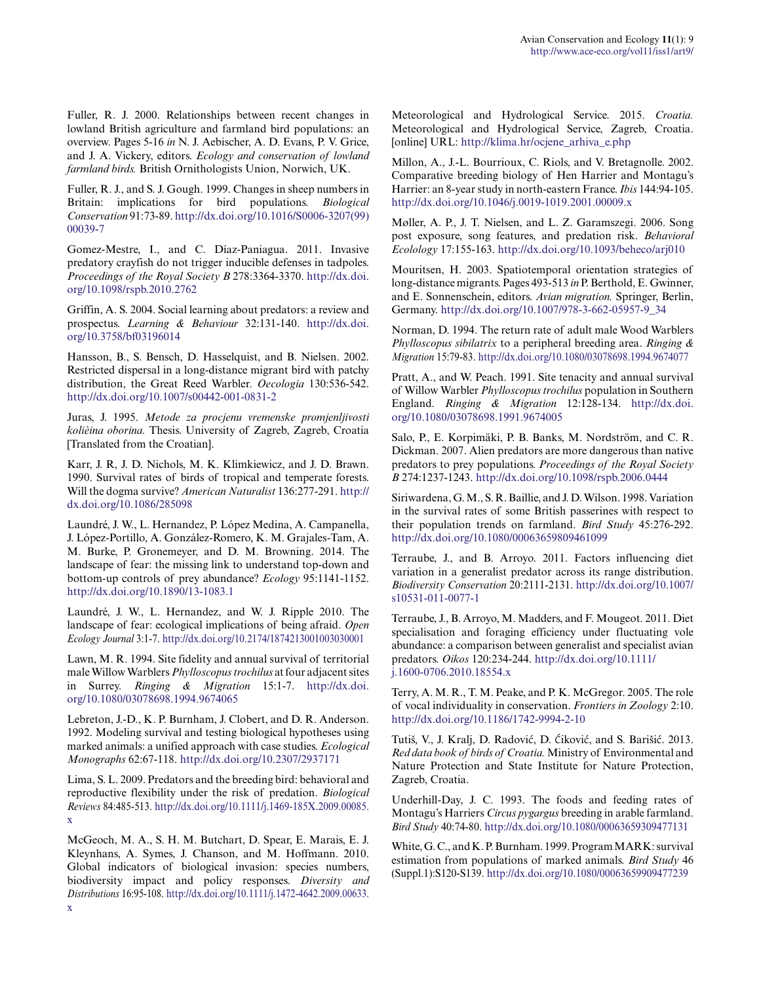Fuller, R. J. 2000. Relationships between recent changes in lowland British agriculture and farmland bird populations: an overview. Pages 5-16 *in* N. J. Aebischer, A. D. Evans, P. V. Grice, and J. A. Vickery, editors. *Ecology and conservation of lowland farmland birds.* British Ornithologists Union, Norwich, UK.

Fuller, R. J., and S. J. Gough. 1999. Changes in sheep numbers in Britain: implications for bird populations. *Biological Conservation* 91:73-89. [http://dx.doi.org/10.1016/S0006-3207\(99\)](http://dx.doi.org/10.1016%2FS0006-3207%2899%2900039-7) [00039-7](http://dx.doi.org/10.1016%2FS0006-3207%2899%2900039-7) 

Gomez-Mestre, I., and C. Díaz-Paniagua. 2011. Invasive predatory crayfish do not trigger inducible defenses in tadpoles. *Proceedings of the Royal Society B* 278:3364-3370. [http://dx.doi.](http://dx.doi.org/10.1098%2Frspb.2010.2762) [org/10.1098/rspb.2010.2762](http://dx.doi.org/10.1098%2Frspb.2010.2762)

Griffin, A. S. 2004. Social learning about predators: a review and prospectus. *Learning & Behaviour* 32:131-140. [http://dx.doi.](http://dx.doi.org/10.3758%2Fbf03196014) [org/10.3758/bf03196014](http://dx.doi.org/10.3758%2Fbf03196014)

Hansson, B., S. Bensch, D. Hasselquist, and B. Nielsen. 2002. Restricted dispersal in a long-distance migrant bird with patchy distribution, the Great Reed Warbler. *Oecologia* 130:536-542. [http://dx.doi.org/10.1007/s00442-001-0831-2](http://dx.doi.org/10.1007%2Fs00442-001-0831-2)

Juras, J. 1995. *Metode za procjenu vremenske promjenljivosti kolièina oborina.* Thesis. University of Zagreb, Zagreb, Croatia [Translated from the Croatian].

Karr, J. R, J. D. Nichols, M. K. Klimkiewicz, and J. D. Brawn. 1990. Survival rates of birds of tropical and temperate forests. Will the dogma survive? *American Naturalist* 136:277-291. [http://](http://dx.doi.org/10.1086%2F285098) [dx.doi.org/10.1086/285098](http://dx.doi.org/10.1086%2F285098) 

Laundré, J. W., L. Hernandez, P. López Medina, A. Campanella, J. López-Portillo, A. González-Romero, K. M. Grajales-Tam, A. M. Burke, P. Gronemeyer, and D. M. Browning. 2014. The landscape of fear: the missing link to understand top-down and bottom-up controls of prey abundance? *Ecology* 95:1141-1152. [http://dx.doi.org/10.1890/13-1083.1](http://dx.doi.org/10.1890%2F13-1083.1)

Laundré, J. W., L. Hernandez, and W. J. Ripple 2010. The landscape of fear: ecological implications of being afraid. *Open Ecology Journal* 3:1-7. [http://dx.doi.org/10.2174/1874213001003030001](http://dx.doi.org/10.2174%2F1874213001003030001)

Lawn, M. R. 1994. Site fidelity and annual survival of territorial male Willow Warblers *Phylloscopus trochilus* at four adjacent sites in Surrey. *Ringing & Migration* 15:1-7. [http://dx.doi.](http://dx.doi.org/10.1080%2F03078698.1994.9674065) [org/10.1080/03078698.1994.9674065](http://dx.doi.org/10.1080%2F03078698.1994.9674065) 

Lebreton, J.-D., K. P. Burnham, J. Clobert, and D. R. Anderson. 1992. Modeling survival and testing biological hypotheses using marked animals: a unified approach with case studies. *Ecological Monographs* 62:67-118. [http://dx.doi.org/10.2307/2937171](http://dx.doi.org/10.2307%2F2937171) 

Lima, S. L. 2009. Predators and the breeding bird: behavioral and reproductive flexibility under the risk of predation. *Biological Reviews* 84:485-513. [http://dx.doi.org/10.1111/j.1469-185X.2009.00085.](http://dx.doi.org/10.1111%2Fj.1469-185X.2009.00085.x) [x](http://dx.doi.org/10.1111%2Fj.1469-185X.2009.00085.x)

McGeoch, M. A., S. H. M. Butchart, D. Spear, E. Marais, E. J. Kleynhans, A. Symes, J. Chanson, and M. Hoffmann. 2010. Global indicators of biological invasion: species numbers, biodiversity impact and policy responses. *Diversity and Distributions* 16:95-108. [http://dx.doi.org/10.1111/j.1472-4642.2009.00633.](http://dx.doi.org/10.1111%2Fj.1472-4642.2009.00633.x) Meteorological and Hydrological Service. 2015. *Croatia.* Meteorological and Hydrological Service, Zagreb, Croatia. [online] URL: [http://klima.hr/ocjene\\_arhiva\\_e.php](http://klima.hr/ocjene_arhiva_e.php) 

Millon, A., J.-L. Bourrioux, C. Riols, and V. Bretagnolle. 2002. Comparative breeding biology of Hen Harrier and Montagu's Harrier: an 8-year study in north-eastern France. *Ibis* 144:94-105. [http://dx.doi.org/10.1046/j.0019-1019.2001.00009.x](http://dx.doi.org/10.1046%2Fj.0019-1019.2001.00009.x) 

Møller, A. P., J. T. Nielsen, and L. Z. Garamszegi. 2006. Song post exposure, song features, and predation risk. *Behavioral Ecolology* 17:155-163. [http://dx.doi.org/10.1093/beheco/arj010](http://dx.doi.org/10.1093%2Fbeheco%2Farj010)

Mouritsen, H. 2003. Spatiotemporal orientation strategies of long-distance migrants. Pages 493-513 *in* P. Berthold, E. Gwinner, and E. Sonnenschein, editors. *Avian migration.* Springer, Berlin, Germany. [http://dx.doi.org/10.1007/978-3-662-05957-9\\_34](http://dx.doi.org/10.1007%2F978-3-662-05957-9_34) 

Norman, D. 1994. The return rate of adult male Wood Warblers *Phylloscopus sibilatrix* to a peripheral breeding area. *Ringing & Migration* 15:79-83. [http://dx.doi.org/10.1080/03078698.1994.9674077](http://dx.doi.org/10.1080%2F03078698.1994.9674077) 

Pratt, A., and W. Peach. 1991. Site tenacity and annual survival of Willow Warbler *Phylloscopus trochilus* population in Southern England. *Ringing & Migration* 12:128-134. [http://dx.doi.](http://dx.doi.org/10.1080%2F03078698.1991.9674005) [org/10.1080/03078698.1991.9674005](http://dx.doi.org/10.1080%2F03078698.1991.9674005) 

Salo, P., E. Korpimäki, P. B. Banks, M. Nordström, and C. R. Dickman. 2007. Alien predators are more dangerous than native predators to prey populations. *Proceedings of the Royal Society B* 274:1237-1243. [http://dx.doi.org/10.1098/rspb.2006.0444](http://dx.doi.org/10.1098%2Frspb.2006.0444)

Siriwardena, G. M., S. R. Baillie, and J. D. Wilson. 1998. Variation in the survival rates of some British passerines with respect to their population trends on farmland. *Bird Study* 45:276-292. [http://dx.doi.org/10.1080/00063659809461099](http://dx.doi.org/10.1080%2F00063659809461099) 

Terraube, J., and B. Arroyo. 2011. Factors influencing diet variation in a generalist predator across its range distribution. *Biodiversity Conservation* 20:2111-2131. [http://dx.doi.org/10.1007/](http://dx.doi.org/10.1007%2Fs10531-011-0077-1) [s10531-011-0077-1](http://dx.doi.org/10.1007%2Fs10531-011-0077-1) 

Terraube, J., B. Arroyo, M. Madders, and F. Mougeot. 2011. Diet specialisation and foraging efficiency under fluctuating vole abundance: a comparison between generalist and specialist avian predators. *Oikos* 120:234-244. [http://dx.doi.org/10.1111/](http://dx.doi.org/10.1111%2Fj.1600-0706.2010.18554.x) [j.1600-0706.2010.18554.x](http://dx.doi.org/10.1111%2Fj.1600-0706.2010.18554.x)

Terry, A. M. R., T. M. Peake, and P. K. McGregor. 2005. The role of vocal individuality in conservation. *Frontiers in Zoology* 2:10. <http://dx.doi.org/10.1186/1742-9994-2-10>

Tutiš, V., J. Kralj, D. Radović, D. Ćiković, and S. Barišić. 2013. *Red data book of birds of Croatia.* Ministry of Environmental and Nature Protection and State Institute for Nature Protection, Zagreb, Croatia.

Underhill-Day, J. C. 1993. The foods and feeding rates of Montagu's Harriers *Circus pygargus* breeding in arable farmland. *Bird Study* 40:74-80. [http://dx.doi.org/10.1080/00063659309477131](http://dx.doi.org/10.1080%2F00063659309477131) 

White, G. C., and K. P. Burnham. 1999. Program MARK: survival estimation from populations of marked animals. *Bird Study* 46 (Suppl.1):S120-S139. [http://dx.doi.org/10.1080/00063659909477239](http://dx.doi.org/10.1080%2F00063659909477239)